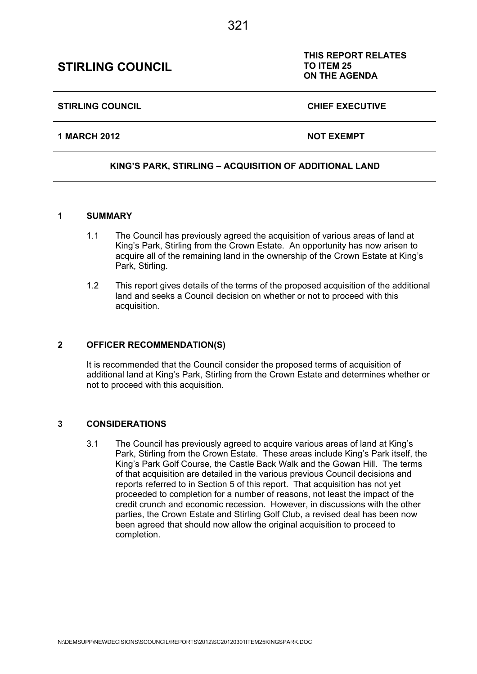## N:\DEMSUPP\NEWDECISIONS\SCOUNCIL\REPORTS\2012\SC20120301ITEM25KINGSPARK.DOC

# **STIRLING COUNCIL**

### **KING'S PARK, STIRLING – ACQUISITION OF ADDITIONAL LAND**

#### **1 SUMMARY**

- 1.1 The Council has previously agreed the acquisition of various areas of land at King's Park, Stirling from the Crown Estate. An opportunity has now arisen to acquire all of the remaining land in the ownership of the Crown Estate at King's Park, Stirling.
- 1.2 This report gives details of the terms of the proposed acquisition of the additional land and seeks a Council decision on whether or not to proceed with this acquisition.

### **2 OFFICER RECOMMENDATION(S)**

It is recommended that the Council consider the proposed terms of acquisition of additional land at King's Park, Stirling from the Crown Estate and determines whether or not to proceed with this acquisition.

### **3 CONSIDERATIONS**

3.1 The Council has previously agreed to acquire various areas of land at King's Park, Stirling from the Crown Estate. These areas include King's Park itself, the King's Park Golf Course, the Castle Back Walk and the Gowan Hill. The terms of that acquisition are detailed in the various previous Council decisions and reports referred to in Section 5 of this report. That acquisition has not yet proceeded to completion for a number of reasons, not least the impact of the credit crunch and economic recession. However, in discussions with the other parties, the Crown Estate and Stirling Golf Club, a revised deal has been now been agreed that should now allow the original acquisition to proceed to completion.

# **ON THE AGENDA**

**THIS REPORT RELATES** 

**1 MARCH 2012 NOT EXEMPT** 

STIRLING COUNCIL **CHIEF EXECUTIVE** 

**TO ITEM 25**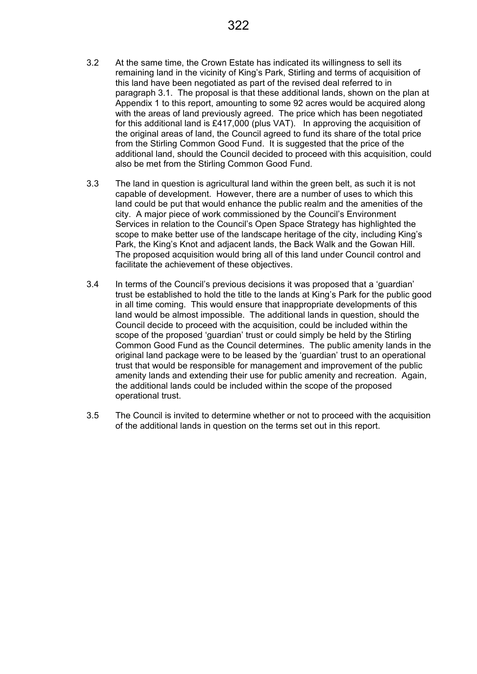- 3.2 At the same time, the Crown Estate has indicated its willingness to sell its remaining land in the vicinity of King's Park, Stirling and terms of acquisition of this land have been negotiated as part of the revised deal referred to in paragraph 3.1. The proposal is that these additional lands, shown on the plan at Appendix 1 to this report, amounting to some 92 acres would be acquired along with the areas of land previously agreed. The price which has been negotiated for this additional land is £417,000 (plus VAT). In approving the acquisition of the original areas of land, the Council agreed to fund its share of the total price from the Stirling Common Good Fund. It is suggested that the price of the additional land, should the Council decided to proceed with this acquisition, could also be met from the Stirling Common Good Fund.
- 3.3 The land in question is agricultural land within the green belt, as such it is not capable of development. However, there are a number of uses to which this land could be put that would enhance the public realm and the amenities of the city. A major piece of work commissioned by the Council's Environment Services in relation to the Council's Open Space Strategy has highlighted the scope to make better use of the landscape heritage of the city, including King's Park, the King's Knot and adjacent lands, the Back Walk and the Gowan Hill. The proposed acquisition would bring all of this land under Council control and facilitate the achievement of these objectives.
- 3.4 In terms of the Council's previous decisions it was proposed that a 'guardian' trust be established to hold the title to the lands at King's Park for the public good in all time coming. This would ensure that inappropriate developments of this land would be almost impossible. The additional lands in question, should the Council decide to proceed with the acquisition, could be included within the scope of the proposed 'guardian' trust or could simply be held by the Stirling Common Good Fund as the Council determines. The public amenity lands in the original land package were to be leased by the 'guardian' trust to an operational trust that would be responsible for management and improvement of the public amenity lands and extending their use for public amenity and recreation. Again, the additional lands could be included within the scope of the proposed operational trust.
- 3.5 The Council is invited to determine whether or not to proceed with the acquisition of the additional lands in question on the terms set out in this report.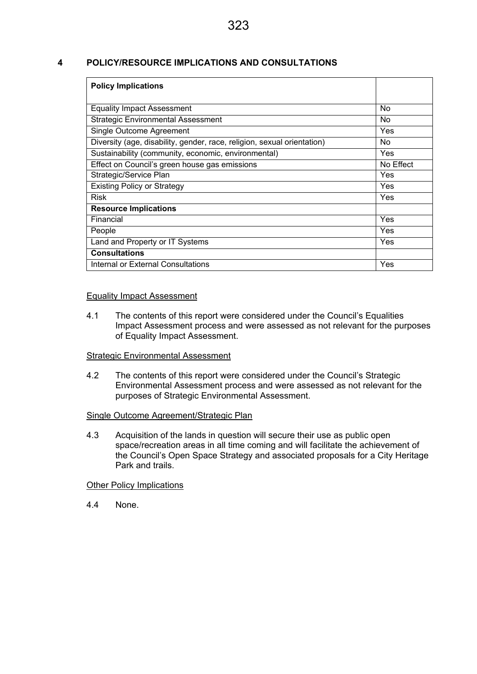#### **4 POLICY/RESOURCE IMPLICATIONS AND CONSULTATIONS**

| <b>Policy Implications</b>                                              |            |
|-------------------------------------------------------------------------|------------|
|                                                                         |            |
| <b>Equality Impact Assessment</b>                                       | No.        |
| <b>Strategic Environmental Assessment</b>                               | No.        |
| Single Outcome Agreement                                                | <b>Yes</b> |
| Diversity (age, disability, gender, race, religion, sexual orientation) | No.        |
| Sustainability (community, economic, environmental)                     | Yes.       |
| Effect on Council's green house gas emissions                           | No Effect  |
| Strategic/Service Plan                                                  | Yes        |
| <b>Existing Policy or Strategy</b>                                      | <b>Yes</b> |
| <b>Risk</b>                                                             | <b>Yes</b> |
| <b>Resource Implications</b>                                            |            |
| Financial                                                               | Yes        |
| People                                                                  | <b>Yes</b> |
| Land and Property or IT Systems                                         | Yes        |
| <b>Consultations</b>                                                    |            |
| Internal or External Consultations                                      | Yes        |

#### Equality Impact Assessment

4.1 The contents of this report were considered under the Council's Equalities Impact Assessment process and were assessed as not relevant for the purposes of Equality Impact Assessment.

### Strategic Environmental Assessment

4.2 The contents of this report were considered under the Council's Strategic Environmental Assessment process and were assessed as not relevant for the purposes of Strategic Environmental Assessment.

#### Single Outcome Agreement/Strategic Plan

4.3 Acquisition of the lands in question will secure their use as public open space/recreation areas in all time coming and will facilitate the achievement of the Council's Open Space Strategy and associated proposals for a City Heritage Park and trails.

#### **Other Policy Implications**

4.4 None.